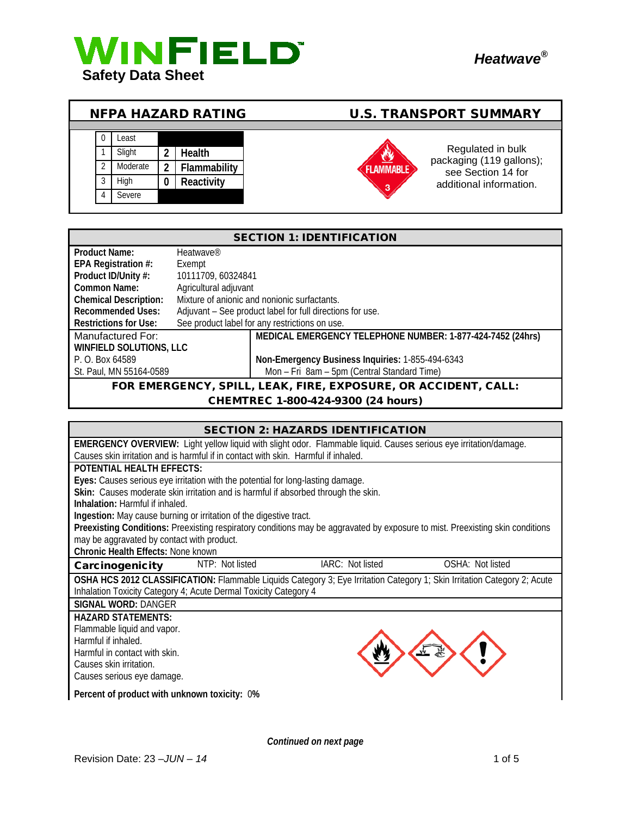



| <b>NFPA HAZARD RATING</b> |   |          |   |               | <b>U.S. TRANSPORT SUMMARY</b> |                                               |
|---------------------------|---|----------|---|---------------|-------------------------------|-----------------------------------------------|
|                           |   |          |   |               |                               |                                               |
|                           |   | Least    |   |               |                               |                                               |
|                           |   | Slight   |   | <b>Health</b> |                               | Regulated in bulk<br>packaging (119 gallons); |
|                           | ി | Moderate | 2 | Flammability  | <b>AMMABLE</b>                | see Section 14 for                            |
|                           | 3 | High     |   | Reactivity    | 3                             | additional information.                       |
|                           | 4 | Severe   |   |               |                               |                                               |

| <b>SECTION 1: IDENTIFICATION</b>                               |                       |                                                            |  |
|----------------------------------------------------------------|-----------------------|------------------------------------------------------------|--|
| <b>Product Name:</b>                                           | Heatwave <sup>®</sup> |                                                            |  |
| EPA Registration #:                                            | Exempt                |                                                            |  |
| Product ID/Unity #:                                            | 10111709, 60324841    |                                                            |  |
| Common Name:                                                   | Agricultural adjuvant |                                                            |  |
| <b>Chemical Description:</b>                                   |                       | Mixture of anionic and nonionic surfactants.               |  |
| <b>Recommended Uses:</b>                                       |                       | Adjuvant – See product label for full directions for use.  |  |
| <b>Restrictions for Use:</b>                                   |                       | See product label for any restrictions on use.             |  |
| Manufactured For:                                              |                       | MEDICAL EMERGENCY TELEPHONE NUMBER: 1-877-424-7452 (24hrs) |  |
| <b>WINFIELD SOLUTIONS, LLC</b>                                 |                       |                                                            |  |
| P. O. Box 64589                                                |                       | Non-Emergency Business Inquiries: 1-855-494-6343           |  |
| St. Paul, MN 55164-0589                                        |                       | Mon - Fri 8am - 5pm (Central Standard Time)                |  |
| FOR EMERGENCY, SPILL, LEAK, FIRE, EXPOSURE, OR ACCIDENT, CALL: |                       |                                                            |  |
| CHEMTREC 1-800-424-9300 (24 hours)                             |                       |                                                            |  |

## SECTION 2: HAZARDS IDENTIFICATION **EMERGENCY OVERVIEW:** Light yellow liquid with slight odor. Flammable liquid. Causes serious eye irritation/damage. Causes skin irritation and is harmful if in contact with skin. Harmful if inhaled. **POTENTIAL HEALTH EFFECTS: Eyes:** Causes serious eye irritation with the potential for long-lasting damage. **Skin:** Causes moderate skin irritation and is harmful if absorbed through the skin. **Inhalation:** Harmful if inhaled. **Ingestion:** May cause burning or irritation of the digestive tract. **Preexisting Conditions:** Preexisting respiratory conditions may be aggravated by exposure to mist. Preexisting skin conditions may be aggravated by contact with product. **Chronic Health Effects:** None known Carcinogenicity MTP: Not listed IARC: Not listed OSHA: Not listed **OSHA HCS 2012 CLASSIFICATION:** Flammable Liquids Category 3; Eye Irritation Category 1; Skin Irritation Category 2; Acute Inhalation Toxicity Category 4; Acute Dermal Toxicity Category 4 **SIGNAL WORD:** DANGER **HAZARD STATEMENTS:** Flammable liquid and vapor. Harmful if inhaled. Harmful in contact with skin. Causes skin irritation. Causes serious eye damage. **Percent of product with unknown toxicity:** 0**%**

*Continued on next page*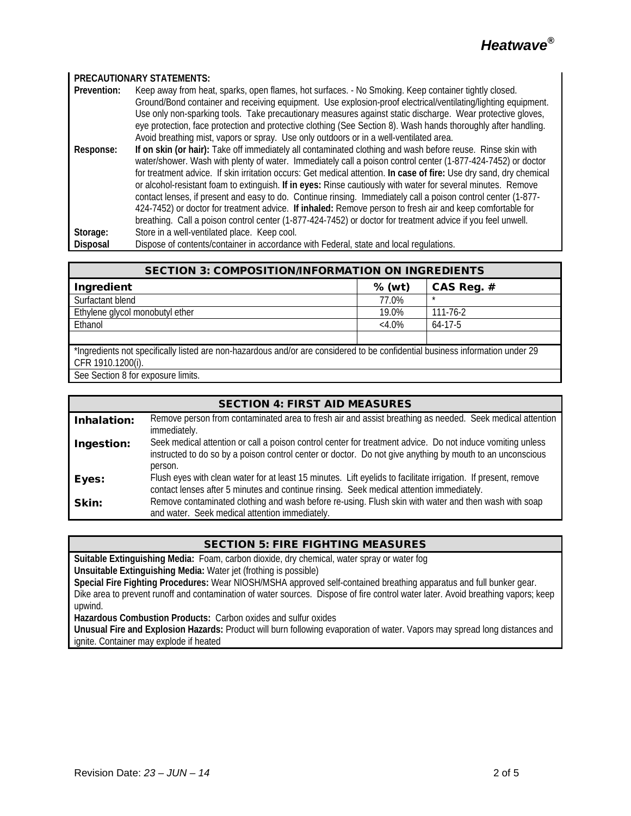#### **PRECAUTIONARY STATEMENTS:**

| Prevention:                 | Keep away from heat, sparks, open flames, hot surfaces. - No Smoking. Keep container tightly closed.                                                                                                                              |  |  |  |
|-----------------------------|-----------------------------------------------------------------------------------------------------------------------------------------------------------------------------------------------------------------------------------|--|--|--|
|                             | Ground/Bond container and receiving equipment. Use explosion-proof electrical/ventilating/lighting equipment.                                                                                                                     |  |  |  |
|                             | Use only non-sparking tools. Take precautionary measures against static discharge. Wear protective gloves,                                                                                                                        |  |  |  |
|                             | eye protection, face protection and protective clothing (See Section 8). Wash hands thoroughly after handling.                                                                                                                    |  |  |  |
|                             | Avoid breathing mist, vapors or spray. Use only outdoors or in a well-ventilated area.                                                                                                                                            |  |  |  |
| $\sim$ $\sim$ $\sim$ $\sim$ | $\mathbf{R}$ . The state of the state is the state of the state of the state of the state of the state of the state of the state of the state of the state of the state of the state of the state of the state of the state of th |  |  |  |

**Response: If on skin (or hair):** Take off immediately all contaminated clothing and wash before reuse. Rinse skin with water/shower. Wash with plenty of water. Immediately call a poison control center (1-877-424-7452) or doctor for treatment advice. If skin irritation occurs: Get medical attention. **In case of fire:** Use dry sand, dry chemical or alcohol-resistant foam to extinguish. **If in eyes:** Rinse cautiously with water for several minutes. Remove contact lenses, if present and easy to do. Continue rinsing. Immediately call a poison control center (1-877- 424-7452) or doctor for treatment advice. **If inhaled:** Remove person to fresh air and keep comfortable for breathing. Call a poison control center (1-877-424-7452) or doctor for treatment advice if you feel unwell. Storage: Store in a well-ventilated place. Keep cool.<br>Disposal Dispose of contents/container in accordance

Dispose of contents/container in accordance with Federal, state and local regulations.

| Ingredient                      | % (wt)   | CAS Reg. $#$ |
|---------------------------------|----------|--------------|
| Surfactant blend                | 77.0%    | $\star$      |
| Ethylene glycol monobutyl ether | 19.0%    | 111-76-2     |
| Ethanol                         | $<4.0\%$ | $64-17-5$    |
|                                 |          |              |

\*Ingredients not specifically listed are non-hazardous and/or are considered to be confidential business information under 29 CFR 1910.1200(i).

See Section 8 for exposure limits.

| <b>SECTION 4: FIRST AID MEASURES</b> |                                                                                                                                                                                                                                    |  |  |
|--------------------------------------|------------------------------------------------------------------------------------------------------------------------------------------------------------------------------------------------------------------------------------|--|--|
| Inhalation:                          | Remove person from contaminated area to fresh air and assist breathing as needed. Seek medical attention<br>immediately.                                                                                                           |  |  |
| Ingestion:                           | Seek medical attention or call a poison control center for treatment advice. Do not induce vomiting unless<br>instructed to do so by a poison control center or doctor. Do not give anything by mouth to an unconscious<br>person. |  |  |
| Eyes:                                | Flush eyes with clean water for at least 15 minutes. Lift eyelids to facilitate irrigation. If present, remove<br>contact lenses after 5 minutes and continue rinsing. Seek medical attention immediately.                         |  |  |
| Skin:                                | Remove contaminated clothing and wash before re-using. Flush skin with water and then wash with soap<br>and water. Seek medical attention immediately.                                                                             |  |  |

# SECTION 5: FIRE FIGHTING MEASURES

**Suitable Extinguishing Media:** Foam, carbon dioxide, dry chemical, water spray or water fog **Unsuitable Extinguishing Media:** Water jet (frothing is possible)

**Special Fire Fighting Procedures:** Wear NIOSH/MSHA approved self-contained breathing apparatus and full bunker gear. Dike area to prevent runoff and contamination of water sources. Dispose of fire control water later. Avoid breathing vapors; keep upwind.

**Hazardous Combustion Products:** Carbon oxides and sulfur oxides

**Unusual Fire and Explosion Hazards:** Product will burn following evaporation of water. Vapors may spread long distances and ignite. Container may explode if heated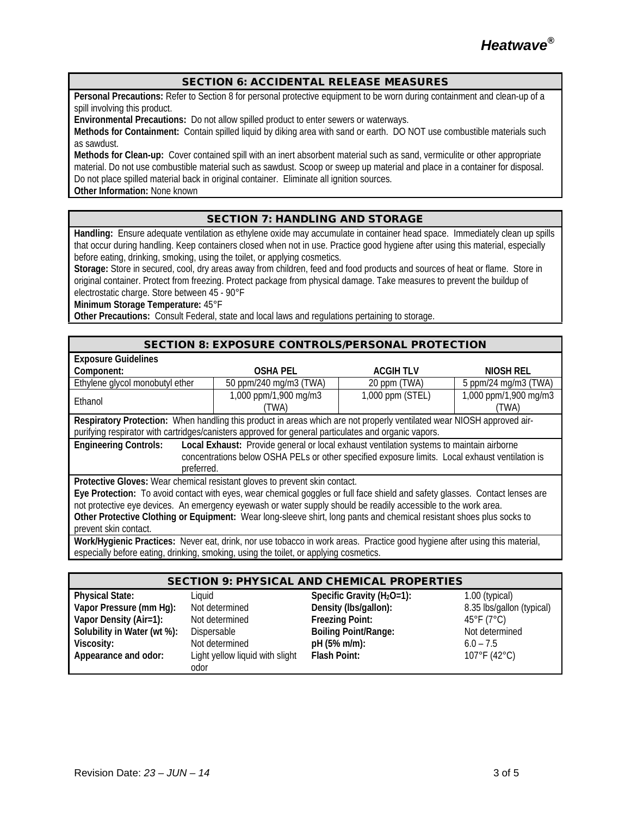#### SECTION 6: ACCIDENTAL RELEASE MEASURES

**Personal Precautions:** Refer to Section 8 for personal protective equipment to be worn during containment and clean-up of a spill involving this product.

**Environmental Precautions:** Do not allow spilled product to enter sewers or waterways.

**Methods for Containment:** Contain spilled liquid by diking area with sand or earth. DO NOT use combustible materials such as sawdust.

**Methods for Clean-up:** Cover contained spill with an inert absorbent material such as sand, vermiculite or other appropriate material. Do not use combustible material such as sawdust. Scoop or sweep up material and place in a container for disposal. Do not place spilled material back in original container. Eliminate all ignition sources.

**Other Information:** None known

## SECTION 7: HANDLING AND STORAGE

**Handling:** Ensure adequate ventilation as ethylene oxide may accumulate in container head space. Immediately clean up spills that occur during handling. Keep containers closed when not in use. Practice good hygiene after using this material, especially before eating, drinking, smoking, using the toilet, or applying cosmetics.

**Storage:** Store in secured, cool, dry areas away from children, feed and food products and sources of heat or flame. Store in original container. Protect from freezing. Protect package from physical damage. Take measures to prevent the buildup of electrostatic charge. Store between 45 - 90°F

**Minimum Storage Temperature:** 45°F

**Other Precautions:** Consult Federal, state and local laws and regulations pertaining to storage.

| <b>SECTION 8: EXPOSURE CONTROLS/PERSONAL PROTECTION</b>                                                                      |                        |                  |                       |  |  |
|------------------------------------------------------------------------------------------------------------------------------|------------------------|------------------|-----------------------|--|--|
| <b>Exposure Guidelines</b>                                                                                                   |                        |                  |                       |  |  |
| Component:                                                                                                                   | <b>OSHA PEL</b>        | <b>ACGIHTLV</b>  | <b>NIOSH REL</b>      |  |  |
| Ethylene glycol monobutyl ether                                                                                              | 50 ppm/240 mg/m3 (TWA) | 20 ppm (TWA)     | 5 ppm/24 mg/m3 (TWA)  |  |  |
| Ethanol                                                                                                                      | 1,000 ppm/1,900 mg/m3  | 1,000 ppm (STEL) | 1,000 ppm/1,900 mg/m3 |  |  |
|                                                                                                                              | (TWA)                  |                  | (TWA)                 |  |  |
| Respiratory Protection: When handling this product in areas which are not properly ventilated wear NIOSH approved air-       |                        |                  |                       |  |  |
| purifying respirator with cartridges/canisters approved for general particulates and organic vapors.                         |                        |                  |                       |  |  |
| Local Exhaust: Provide general or local exhaust ventilation systems to maintain airborne<br><b>Engineering Controls:</b>     |                        |                  |                       |  |  |
| concentrations below OSHA PELs or other specified exposure limits. Local exhaust ventilation is                              |                        |                  |                       |  |  |
| preferred.                                                                                                                   |                        |                  |                       |  |  |
| Protective Gloves: Wear chemical resistant gloves to prevent skin contact.                                                   |                        |                  |                       |  |  |
| Eye Protection: To avoid contact with eyes, wear chemical goggles or full face shield and safety glasses. Contact lenses are |                        |                  |                       |  |  |
| not protective eye devices. An emergency eyewash or water supply should be readily accessible to the work area.              |                        |                  |                       |  |  |
| Other Protective Clothing or Equipment: Wear long-sleeve shirt, long pants and chemical resistant shoes plus socks to        |                        |                  |                       |  |  |
| prevent skin contact.                                                                                                        |                        |                  |                       |  |  |
| Work/Hygienic Practices: Never eat, drink, nor use tobacco in work areas. Practice good hygiene after using this material,   |                        |                  |                       |  |  |
| especially before eating, drinking, smoking, using the toilet, or applying cosmetics.                                        |                        |                  |                       |  |  |

#### SECTION 9: PHYSICAL AND CHEMICAL PROPERTIES

| <b>Physical State:</b>      | Liguid                          | Specific Gravity ( $H_2O=1$ ): | $1.00$ (typical)          |
|-----------------------------|---------------------------------|--------------------------------|---------------------------|
|                             | Not determined                  |                                |                           |
| Vapor Pressure (mm Hg):     |                                 | Density (Ibs/gallon):          | 8.35 lbs/gallon (typical) |
| Vapor Density (Air=1):      | Not determined                  | <b>Freezing Point:</b>         | 45°F (7°C)                |
| Solubility in Water (wt %): | Dispersable                     | <b>Boiling Point/Range:</b>    | Not determined            |
| Viscosity:                  | Not determined                  | pH (5% m/m):                   | $6.0 - 7.5$               |
| Appearance and odor:        | Light yellow liquid with slight | Flash Point:                   | 107°F (42°C)              |
|                             | odor                            |                                |                           |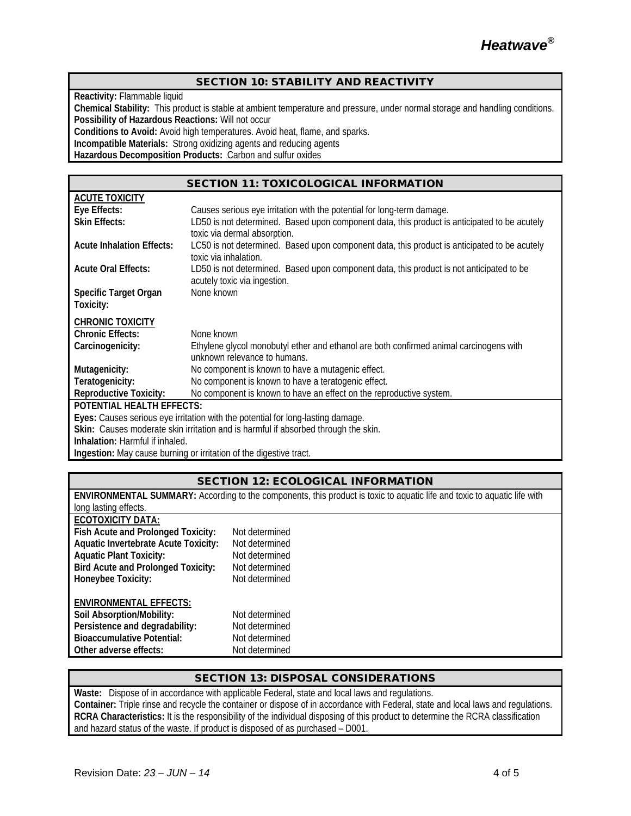#### SECTION 10: STABILITY AND REACTIVITY

**Reactivity:** Flammable liquid

**Chemical Stability:** This product is stable at ambient temperature and pressure, under normal storage and handling conditions. **Possibility of Hazardous Reactions:** Will not occur

**Conditions to Avoid:** Avoid high temperatures. Avoid heat, flame, and sparks.

**Incompatible Materials:** Strong oxidizing agents and reducing agents

**Hazardous Decomposition Products:** Carbon and sulfur oxides

## SECTION 11: TOXICOLOGICAL INFORMATION

| <b>ACUTE TOXICITY</b>                                                              |                                                                                              |  |  |  |
|------------------------------------------------------------------------------------|----------------------------------------------------------------------------------------------|--|--|--|
| Eye Effects:                                                                       | Causes serious eye irritation with the potential for long-term damage.                       |  |  |  |
| <b>Skin Effects:</b>                                                               | LD50 is not determined. Based upon component data, this product is anticipated to be acutely |  |  |  |
|                                                                                    | toxic via dermal absorption.                                                                 |  |  |  |
| <b>Acute Inhalation Effects:</b>                                                   | LC50 is not determined. Based upon component data, this product is anticipated to be acutely |  |  |  |
|                                                                                    | toxic via inhalation.                                                                        |  |  |  |
| <b>Acute Oral Effects:</b>                                                         | LD50 is not determined. Based upon component data, this product is not anticipated to be     |  |  |  |
|                                                                                    | acutely toxic via ingestion.                                                                 |  |  |  |
| <b>Specific Target Organ</b>                                                       | None known                                                                                   |  |  |  |
| Toxicity:                                                                          |                                                                                              |  |  |  |
| <b>CHRONIC TOXICITY</b>                                                            |                                                                                              |  |  |  |
| <b>Chronic Effects:</b>                                                            | None known                                                                                   |  |  |  |
| Carcinogenicity:                                                                   | Ethylene glycol monobutyl ether and ethanol are both confirmed animal carcinogens with       |  |  |  |
|                                                                                    | unknown relevance to humans.                                                                 |  |  |  |
| Mutagenicity:                                                                      | No component is known to have a mutagenic effect.                                            |  |  |  |
| Teratogenicity:                                                                    | No component is known to have a teratogenic effect.                                          |  |  |  |
| <b>Reproductive Toxicity:</b>                                                      | No component is known to have an effect on the reproductive system.                          |  |  |  |
| <b>POTENTIAL HEALTH EFFECTS:</b>                                                   |                                                                                              |  |  |  |
| Eyes: Causes serious eye irritation with the potential for long-lasting damage.    |                                                                                              |  |  |  |
| Skin: Causes moderate skin irritation and is harmful if absorbed through the skin. |                                                                                              |  |  |  |
| Inhalation: Harmful if inhaled.                                                    |                                                                                              |  |  |  |
| Ingestion: May cause burning or irritation of the digestive tract.                 |                                                                                              |  |  |  |

## SECTION 12: ECOLOGICAL INFORMATION

| <b>ENVIRONMENTAL SUMMARY:</b> According to the components, this product is toxic to aquatic life and toxic to aquatic life with |                |  |  |  |
|---------------------------------------------------------------------------------------------------------------------------------|----------------|--|--|--|
| long lasting effects.                                                                                                           |                |  |  |  |
| ECOTOXICITY DATA:                                                                                                               |                |  |  |  |
| Fish Acute and Prolonged Toxicity:                                                                                              | Not determined |  |  |  |
| <b>Aquatic Invertebrate Acute Toxicity:</b>                                                                                     | Not determined |  |  |  |
| <b>Aquatic Plant Toxicity:</b>                                                                                                  | Not determined |  |  |  |
| <b>Bird Acute and Prolonged Toxicity:</b>                                                                                       | Not determined |  |  |  |
| Honeybee Toxicity:                                                                                                              | Not determined |  |  |  |
| <b>ENVIRONMENTAL EFFECTS:</b>                                                                                                   |                |  |  |  |
|                                                                                                                                 |                |  |  |  |
| Soil Absorption/Mobility:                                                                                                       | Not determined |  |  |  |
| Persistence and degradability:                                                                                                  | Not determined |  |  |  |
| <b>Bioaccumulative Potential:</b>                                                                                               | Not determined |  |  |  |
| Other adverse effects:                                                                                                          | Not determined |  |  |  |
|                                                                                                                                 |                |  |  |  |

## SECTION 13: DISPOSAL CONSIDERATIONS

**Waste:** Dispose of in accordance with applicable Federal, state and local laws and regulations. **Container:** Triple rinse and recycle the container or dispose of in accordance with Federal, state and local laws and regulations. **RCRA Characteristics:** It is the responsibility of the individual disposing of this product to determine the RCRA classification and hazard status of the waste. If product is disposed of as purchased – D001.